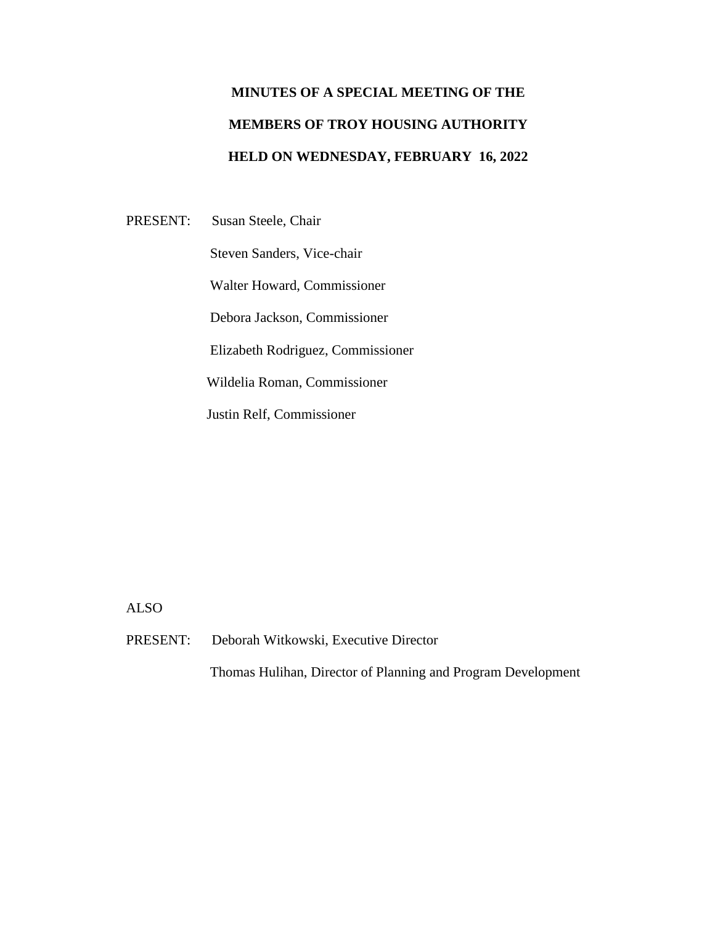## **MINUTES OF A SPECIAL MEETING OF THE MEMBERS OF TROY HOUSING AUTHORITY HELD ON WEDNESDAY, FEBRUARY 16, 2022**

PRESENT: Susan Steele, Chair Steven Sanders, Vice-chair Walter Howard, Commissioner Debora Jackson, Commissioner Elizabeth Rodriguez, Commissioner Wildelia Roman, Commissioner Justin Relf, Commissioner

ALSO

PRESENT: Deborah Witkowski, Executive Director

Thomas Hulihan, Director of Planning and Program Development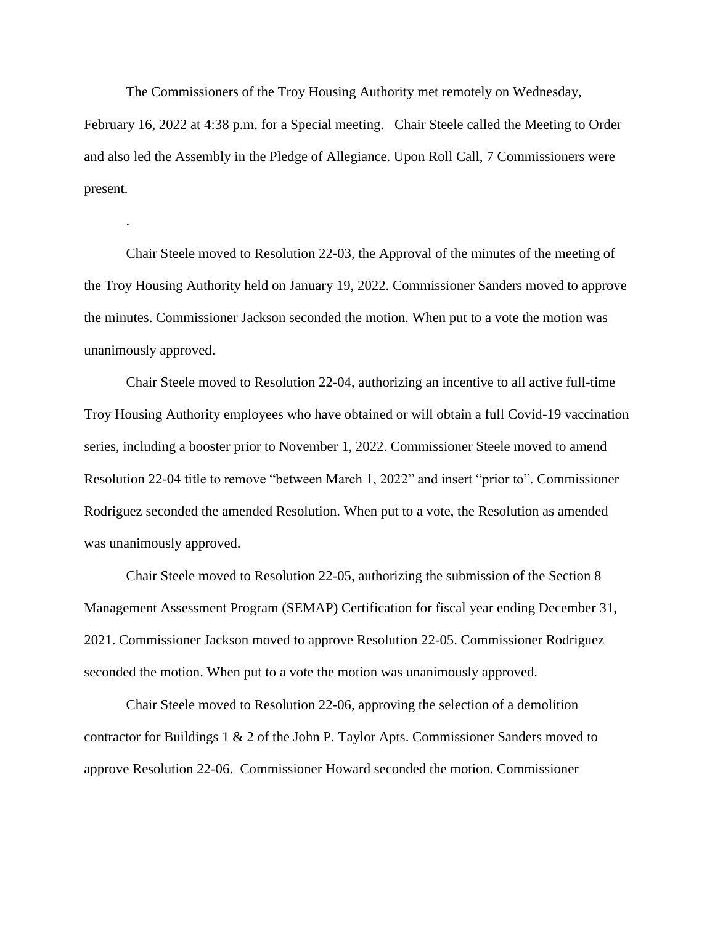The Commissioners of the Troy Housing Authority met remotely on Wednesday,

February 16, 2022 at 4:38 p.m. for a Special meeting. Chair Steele called the Meeting to Order and also led the Assembly in the Pledge of Allegiance. Upon Roll Call, 7 Commissioners were present.

.

Chair Steele moved to Resolution 22-03, the Approval of the minutes of the meeting of the Troy Housing Authority held on January 19, 2022. Commissioner Sanders moved to approve the minutes. Commissioner Jackson seconded the motion. When put to a vote the motion was unanimously approved.

Chair Steele moved to Resolution 22-04, authorizing an incentive to all active full-time Troy Housing Authority employees who have obtained or will obtain a full Covid-19 vaccination series, including a booster prior to November 1, 2022. Commissioner Steele moved to amend Resolution 22-04 title to remove "between March 1, 2022" and insert "prior to". Commissioner Rodriguez seconded the amended Resolution. When put to a vote, the Resolution as amended was unanimously approved.

Chair Steele moved to Resolution 22-05, authorizing the submission of the Section 8 Management Assessment Program (SEMAP) Certification for fiscal year ending December 31, 2021. Commissioner Jackson moved to approve Resolution 22-05. Commissioner Rodriguez seconded the motion. When put to a vote the motion was unanimously approved.

Chair Steele moved to Resolution 22-06, approving the selection of a demolition contractor for Buildings 1 & 2 of the John P. Taylor Apts. Commissioner Sanders moved to approve Resolution 22-06. Commissioner Howard seconded the motion. Commissioner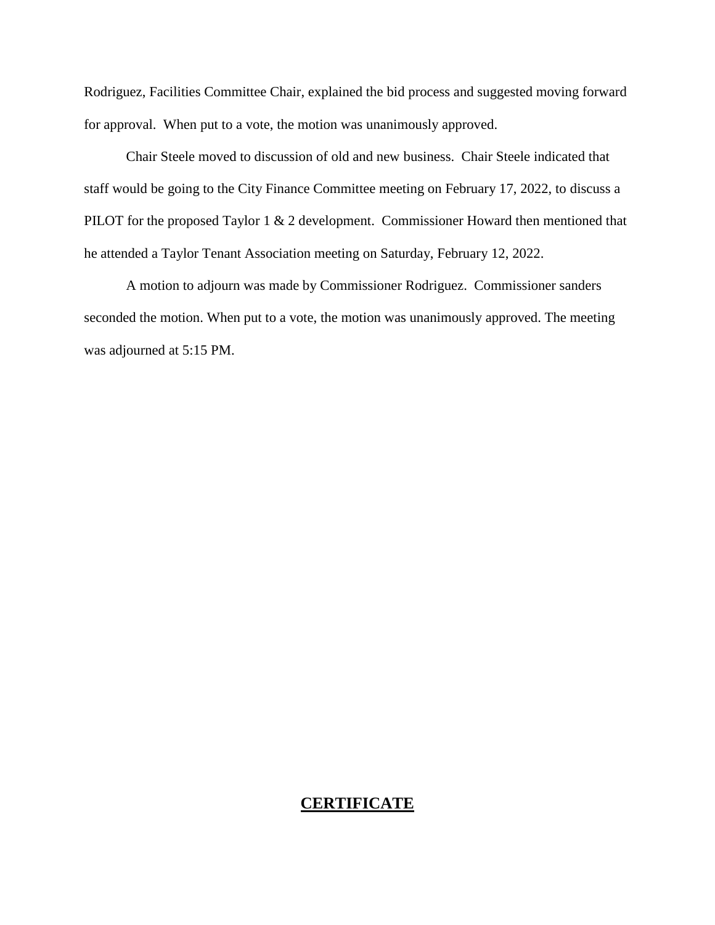Rodriguez, Facilities Committee Chair, explained the bid process and suggested moving forward for approval. When put to a vote, the motion was unanimously approved.

Chair Steele moved to discussion of old and new business. Chair Steele indicated that staff would be going to the City Finance Committee meeting on February 17, 2022, to discuss a PILOT for the proposed Taylor 1 & 2 development. Commissioner Howard then mentioned that he attended a Taylor Tenant Association meeting on Saturday, February 12, 2022.

A motion to adjourn was made by Commissioner Rodriguez. Commissioner sanders seconded the motion. When put to a vote, the motion was unanimously approved. The meeting was adjourned at 5:15 PM.

## **CERTIFICATE**